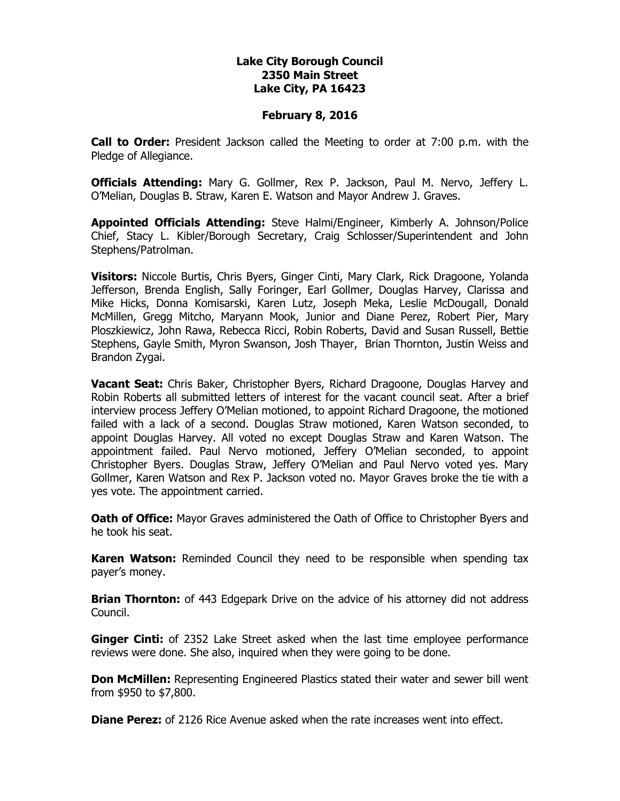## **Lake City Borough Council 2350 Main Street Lake City, PA 16423**

## **February 8, 2016**

**Call to Order:** President Jackson called the Meeting to order at 7:00 p.m. with the Pledge of Allegiance.

**Officials Attending:** Mary G. Gollmer, Rex P. Jackson, Paul M. Nervo, Jeffery L. O'Melian, Douglas B. Straw, Karen E. Watson and Mayor Andrew J. Graves.

**Appointed Officials Attending:** Steve Halmi/Engineer, Kimberly A. Johnson/Police Chief, Stacy L. Kibler/Borough Secretary, Craig Schlosser/Superintendent and John Stephens/Patrolman.

**Visitors:** Niccole Burtis, Chris Byers, Ginger Cinti, Mary Clark, Rick Dragoone, Yolanda Jefferson, Brenda English, Sally Foringer, Earl Gollmer, Douglas Harvey, Clarissa and Mike Hicks, Donna Komisarski, Karen Lutz, Joseph Meka, Leslie McDougall, Donald McMillen, Gregg Mitcho, Maryann Mook, Junior and Diane Perez, Robert Pier, Mary Ploszkiewicz, John Rawa, Rebecca Ricci, Robin Roberts, David and Susan Russell, Bettie Stephens, Gayle Smith, Myron Swanson, Josh Thayer, Brian Thornton, Justin Weiss and Brandon Zygai.

**Vacant Seat:** Chris Baker, Christopher Byers, Richard Dragoone, Douglas Harvey and Robin Roberts all submitted letters of interest for the vacant council seat. After a brief interview process Jeffery O'Melian motioned, to appoint Richard Dragoone, the motioned failed with a lack of a second. Douglas Straw motioned, Karen Watson seconded, to appoint Douglas Harvey. All voted no except Douglas Straw and Karen Watson. The appointment failed. Paul Nervo motioned, Jeffery O'Melian seconded, to appoint Christopher Byers. Douglas Straw, Jeffery O'Melian and Paul Nervo voted yes. Mary Gollmer, Karen Watson and Rex P. Jackson voted no. Mayor Graves broke the tie with a yes vote. The appointment carried.

**Oath of Office:** Mayor Graves administered the Oath of Office to Christopher Byers and he took his seat.

**Karen Watson:** Reminded Council they need to be responsible when spending tax payer's money.

**Brian Thornton:** of 443 Edgepark Drive on the advice of his attorney did not address Council.

Ginger Cinti: of 2352 Lake Street asked when the last time employee performance reviews were done. She also, inquired when they were going to be done.

**Don McMillen:** Representing Engineered Plastics stated their water and sewer bill went from \$950 to \$7,800.

**Diane Perez:** of 2126 Rice Avenue asked when the rate increases went into effect.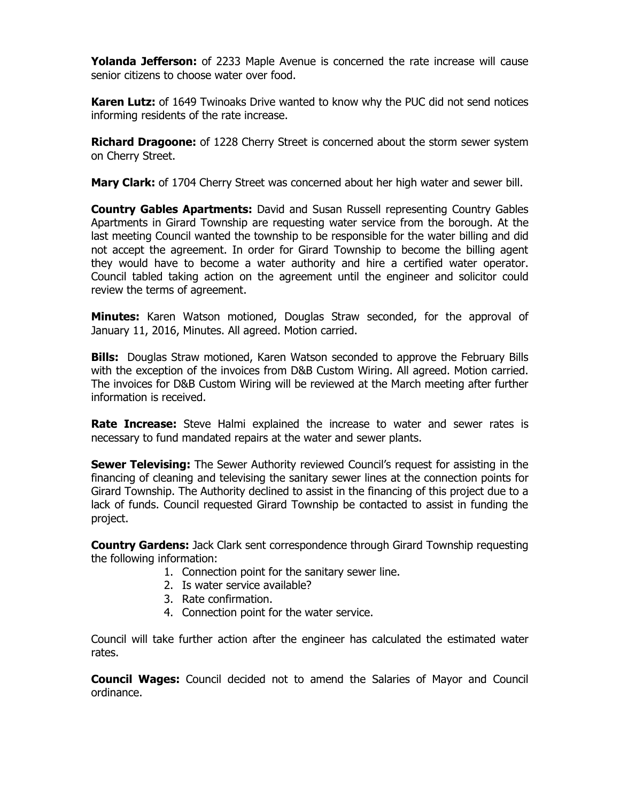**Yolanda Jefferson:** of 2233 Maple Avenue is concerned the rate increase will cause senior citizens to choose water over food.

**Karen Lutz:** of 1649 Twinoaks Drive wanted to know why the PUC did not send notices informing residents of the rate increase.

**Richard Dragoone:** of 1228 Cherry Street is concerned about the storm sewer system on Cherry Street.

**Mary Clark:** of 1704 Cherry Street was concerned about her high water and sewer bill.

**Country Gables Apartments:** David and Susan Russell representing Country Gables Apartments in Girard Township are requesting water service from the borough. At the last meeting Council wanted the township to be responsible for the water billing and did not accept the agreement. In order for Girard Township to become the billing agent they would have to become a water authority and hire a certified water operator. Council tabled taking action on the agreement until the engineer and solicitor could review the terms of agreement.

**Minutes:** Karen Watson motioned, Douglas Straw seconded, for the approval of January 11, 2016, Minutes. All agreed. Motion carried.

**Bills:** Douglas Straw motioned, Karen Watson seconded to approve the February Bills with the exception of the invoices from D&B Custom Wiring. All agreed. Motion carried. The invoices for D&B Custom Wiring will be reviewed at the March meeting after further information is received.

**Rate Increase:** Steve Halmi explained the increase to water and sewer rates is necessary to fund mandated repairs at the water and sewer plants.

**Sewer Televising:** The Sewer Authority reviewed Council's request for assisting in the financing of cleaning and televising the sanitary sewer lines at the connection points for Girard Township. The Authority declined to assist in the financing of this project due to a lack of funds. Council requested Girard Township be contacted to assist in funding the project.

**Country Gardens:** Jack Clark sent correspondence through Girard Township requesting the following information:

- 1. Connection point for the sanitary sewer line.
- 2. Is water service available?
- 3. Rate confirmation.
- 4. Connection point for the water service.

Council will take further action after the engineer has calculated the estimated water rates.

**Council Wages:** Council decided not to amend the Salaries of Mayor and Council ordinance.